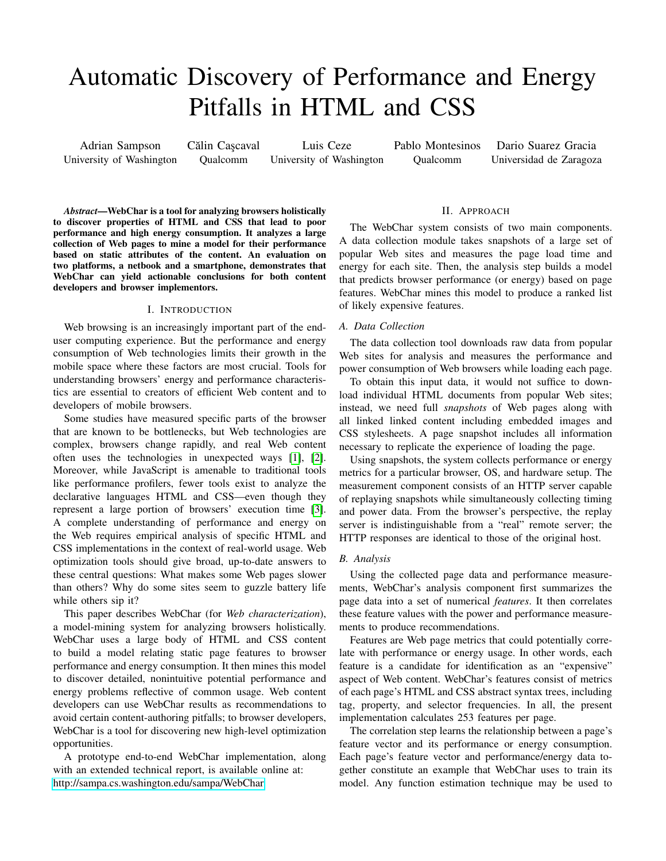# Automatic Discovery of Performance and Energy Pitfalls in HTML and CSS

Adrian Sampson University of Washington Călin Cascaval Qualcomm Luis Ceze University of Washington

Pablo Montesinos Qualcomm

Dario Suarez Gracia Universidad de Zaragoza

*Abstract*—WebChar is a tool for analyzing browsers holistically to discover properties of HTML and CSS that lead to poor performance and high energy consumption. It analyzes a large collection of Web pages to mine a model for their performance based on static attributes of the content. An evaluation on two platforms, a netbook and a smartphone, demonstrates that WebChar can yield actionable conclusions for both content developers and browser implementors.

#### I. INTRODUCTION

Web browsing is an increasingly important part of the enduser computing experience. But the performance and energy consumption of Web technologies limits their growth in the mobile space where these factors are most crucial. Tools for understanding browsers' energy and performance characteristics are essential to creators of efficient Web content and to developers of mobile browsers.

Some studies have measured specific parts of the browser that are known to be bottlenecks, but Web technologies are complex, browsers change rapidly, and real Web content often uses the technologies in unexpected ways [\[1\]](#page-1-0), [\[2\]](#page-1-1). Moreover, while JavaScript is amenable to traditional tools like performance profilers, fewer tools exist to analyze the declarative languages HTML and CSS—even though they represent a large portion of browsers' execution time [\[3\]](#page-1-2). A complete understanding of performance and energy on the Web requires empirical analysis of specific HTML and CSS implementations in the context of real-world usage. Web optimization tools should give broad, up-to-date answers to these central questions: What makes some Web pages slower than others? Why do some sites seem to guzzle battery life while others sip it?

This paper describes WebChar (for *Web characterization*), a model-mining system for analyzing browsers holistically. WebChar uses a large body of HTML and CSS content to build a model relating static page features to browser performance and energy consumption. It then mines this model to discover detailed, nonintuitive potential performance and energy problems reflective of common usage. Web content developers can use WebChar results as recommendations to avoid certain content-authoring pitfalls; to browser developers, WebChar is a tool for discovering new high-level optimization opportunities.

A prototype end-to-end WebChar implementation, along with an extended technical report, is available online at: <http://sampa.cs.washington.edu/sampa/WebChar>

# II. APPROACH

The WebChar system consists of two main components. A data collection module takes snapshots of a large set of popular Web sites and measures the page load time and energy for each site. Then, the analysis step builds a model that predicts browser performance (or energy) based on page features. WebChar mines this model to produce a ranked list of likely expensive features.

#### *A. Data Collection*

The data collection tool downloads raw data from popular Web sites for analysis and measures the performance and power consumption of Web browsers while loading each page.

To obtain this input data, it would not suffice to download individual HTML documents from popular Web sites; instead, we need full *snapshots* of Web pages along with all linked linked content including embedded images and CSS stylesheets. A page snapshot includes all information necessary to replicate the experience of loading the page.

Using snapshots, the system collects performance or energy metrics for a particular browser, OS, and hardware setup. The measurement component consists of an HTTP server capable of replaying snapshots while simultaneously collecting timing and power data. From the browser's perspective, the replay server is indistinguishable from a "real" remote server; the HTTP responses are identical to those of the original host.

# *B. Analysis*

Using the collected page data and performance measurements, WebChar's analysis component first summarizes the page data into a set of numerical *features*. It then correlates these feature values with the power and performance measurements to produce recommendations.

Features are Web page metrics that could potentially correlate with performance or energy usage. In other words, each feature is a candidate for identification as an "expensive" aspect of Web content. WebChar's features consist of metrics of each page's HTML and CSS abstract syntax trees, including tag, property, and selector frequencies. In all, the present implementation calculates 253 features per page.

The correlation step learns the relationship between a page's feature vector and its performance or energy consumption. Each page's feature vector and performance/energy data together constitute an example that WebChar uses to train its model. Any function estimation technique may be used to